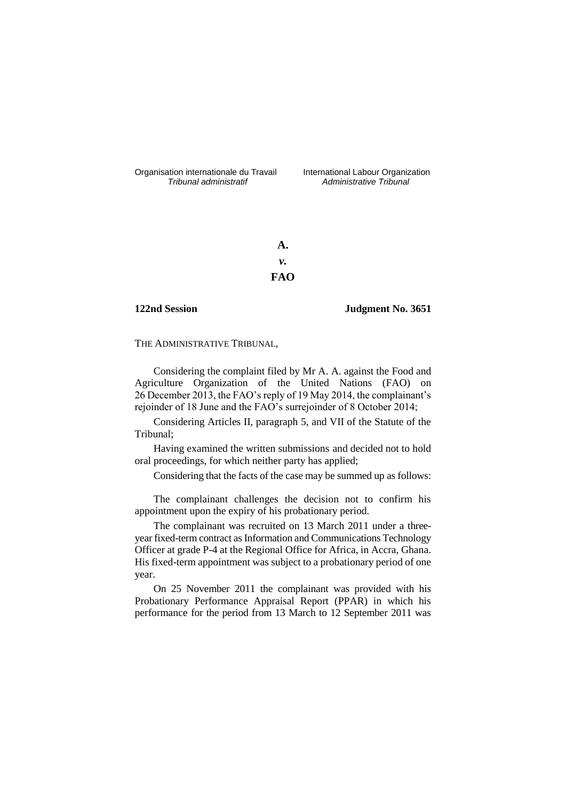Organisation internationale du Travail liternational Labour Organization<br> *Tribunal administratif Administrative Tribunal* 

*Tribunal administratif Administrative Tribunal*

**A.** *v.* **FAO**

**122nd Session Judgment No. 3651**

THE ADMINISTRATIVE TRIBUNAL,

Considering the complaint filed by Mr A. A. against the Food and Agriculture Organization of the United Nations (FAO) on 26 December 2013, the FAO's reply of 19 May 2014, the complainant's rejoinder of 18 June and the FAO's surrejoinder of 8 October 2014;

Considering Articles II, paragraph 5, and VII of the Statute of the Tribunal;

Having examined the written submissions and decided not to hold oral proceedings, for which neither party has applied;

Considering that the facts of the case may be summed up as follows:

The complainant challenges the decision not to confirm his appointment upon the expiry of his probationary period.

The complainant was recruited on 13 March 2011 under a threeyear fixed-term contract as Information and Communications Technology Officer at grade P-4 at the Regional Office for Africa, in Accra, Ghana. His fixed-term appointment was subject to a probationary period of one year.

On 25 November 2011 the complainant was provided with his Probationary Performance Appraisal Report (PPAR) in which his performance for the period from 13 March to 12 September 2011 was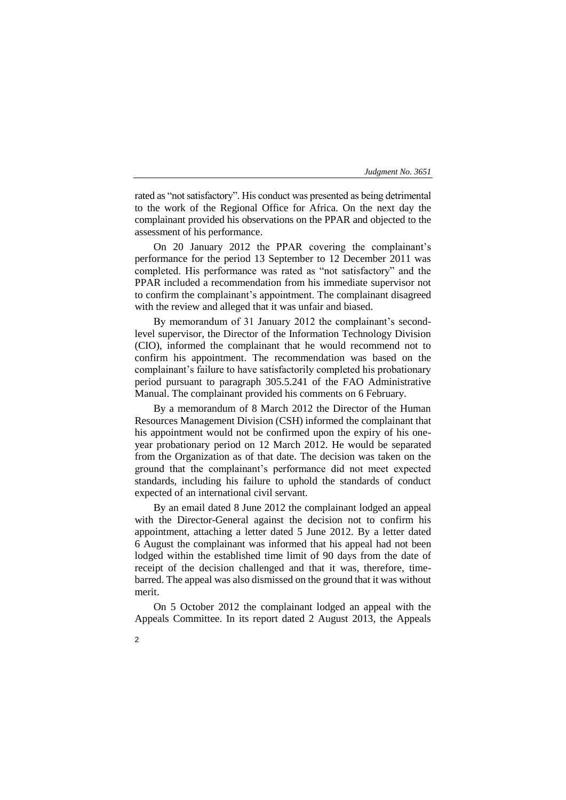rated as "not satisfactory". His conduct was presented as being detrimental to the work of the Regional Office for Africa. On the next day the complainant provided his observations on the PPAR and objected to the assessment of his performance.

On 20 January 2012 the PPAR covering the complainant's performance for the period 13 September to 12 December 2011 was completed. His performance was rated as "not satisfactory" and the PPAR included a recommendation from his immediate supervisor not to confirm the complainant's appointment. The complainant disagreed with the review and alleged that it was unfair and biased.

By memorandum of 31 January 2012 the complainant's secondlevel supervisor, the Director of the Information Technology Division (CIO), informed the complainant that he would recommend not to confirm his appointment. The recommendation was based on the complainant's failure to have satisfactorily completed his probationary period pursuant to paragraph 305.5.241 of the FAO Administrative Manual. The complainant provided his comments on 6 February.

By a memorandum of 8 March 2012 the Director of the Human Resources Management Division (CSH) informed the complainant that his appointment would not be confirmed upon the expiry of his oneyear probationary period on 12 March 2012. He would be separated from the Organization as of that date. The decision was taken on the ground that the complainant's performance did not meet expected standards, including his failure to uphold the standards of conduct expected of an international civil servant.

By an email dated 8 June 2012 the complainant lodged an appeal with the Director-General against the decision not to confirm his appointment, attaching a letter dated 5 June 2012. By a letter dated 6 August the complainant was informed that his appeal had not been lodged within the established time limit of 90 days from the date of receipt of the decision challenged and that it was, therefore, timebarred. The appeal was also dismissed on the ground that it was without merit.

On 5 October 2012 the complainant lodged an appeal with the Appeals Committee. In its report dated 2 August 2013, the Appeals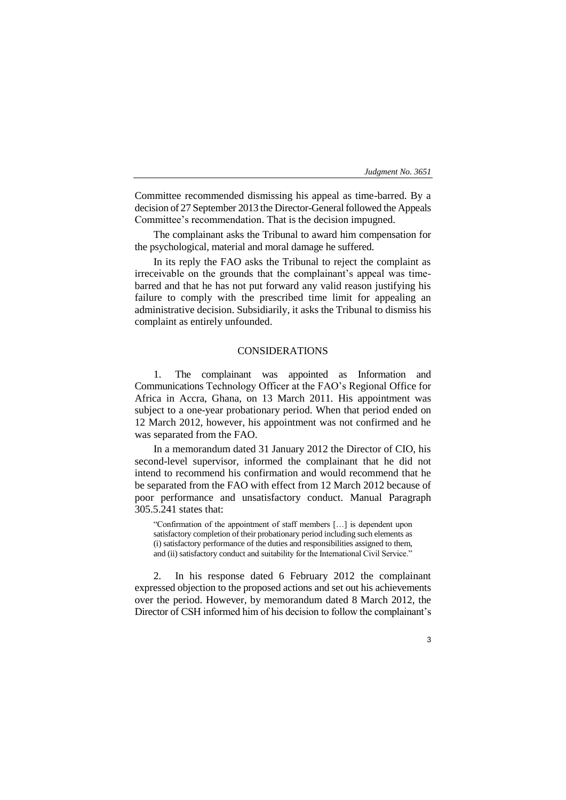Committee recommended dismissing his appeal as time-barred. By a decision of 27 September 2013 the Director-General followed the Appeals Committee's recommendation. That is the decision impugned.

The complainant asks the Tribunal to award him compensation for the psychological, material and moral damage he suffered.

In its reply the FAO asks the Tribunal to reject the complaint as irreceivable on the grounds that the complainant's appeal was timebarred and that he has not put forward any valid reason justifying his failure to comply with the prescribed time limit for appealing an administrative decision. Subsidiarily, it asks the Tribunal to dismiss his complaint as entirely unfounded.

# CONSIDERATIONS

1. The complainant was appointed as Information and Communications Technology Officer at the FAO's Regional Office for Africa in Accra, Ghana, on 13 March 2011. His appointment was subject to a one-year probationary period. When that period ended on 12 March 2012, however, his appointment was not confirmed and he was separated from the FAO.

In a memorandum dated 31 January 2012 the Director of CIO, his second-level supervisor, informed the complainant that he did not intend to recommend his confirmation and would recommend that he be separated from the FAO with effect from 12 March 2012 because of poor performance and unsatisfactory conduct. Manual Paragraph 305.5.241 states that:

"Confirmation of the appointment of staff members […] is dependent upon satisfactory completion of their probationary period including such elements as (i) satisfactory performance of the duties and responsibilities assigned to them, and (ii) satisfactory conduct and suitability for the International Civil Service."

2. In his response dated 6 February 2012 the complainant expressed objection to the proposed actions and set out his achievements over the period. However, by memorandum dated 8 March 2012, the Director of CSH informed him of his decision to follow the complainant's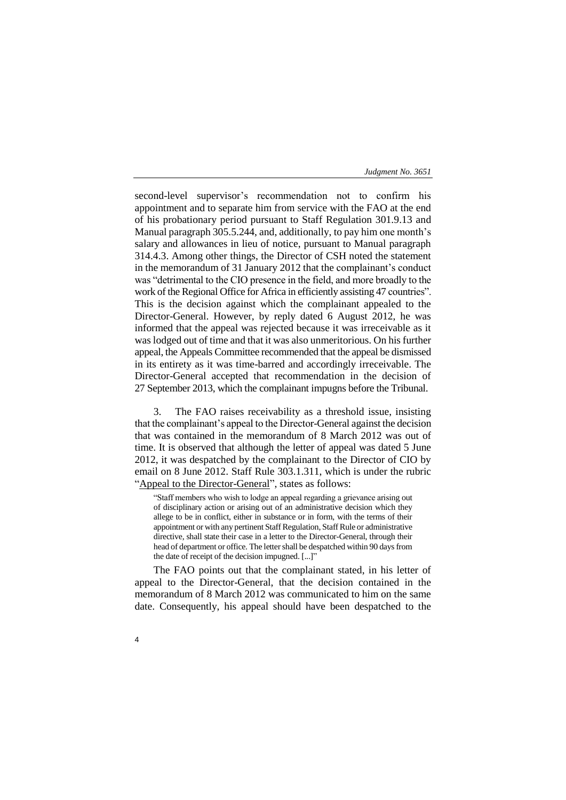second-level supervisor's recommendation not to confirm his appointment and to separate him from service with the FAO at the end of his probationary period pursuant to Staff Regulation 301.9.13 and Manual paragraph 305.5.244, and, additionally, to pay him one month's salary and allowances in lieu of notice, pursuant to Manual paragraph 314.4.3. Among other things, the Director of CSH noted the statement in the memorandum of 31 January 2012 that the complainant's conduct was "detrimental to the CIO presence in the field, and more broadly to the work of the Regional Office for Africa in efficiently assisting 47 countries". This is the decision against which the complainant appealed to the Director-General. However, by reply dated 6 August 2012, he was informed that the appeal was rejected because it was irreceivable as it was lodged out of time and that it was also unmeritorious. On his further appeal, the Appeals Committee recommended that the appeal be dismissed in its entirety as it was time-barred and accordingly irreceivable. The Director-General accepted that recommendation in the decision of 27 September 2013, which the complainant impugns before the Tribunal.

3. The FAO raises receivability as a threshold issue, insisting that the complainant's appeal to the Director-General against the decision that was contained in the memorandum of 8 March 2012 was out of time. It is observed that although the letter of appeal was dated 5 June 2012, it was despatched by the complainant to the Director of CIO by email on 8 June 2012. Staff Rule 303.1.311, which is under the rubric "Appeal to the Director-General", states as follows:

"Staff members who wish to lodge an appeal regarding a grievance arising out of disciplinary action or arising out of an administrative decision which they allege to be in conflict, either in substance or in form, with the terms of their appointment or with any pertinent Staff Regulation, Staff Rule or administrative directive, shall state their case in a letter to the Director-General, through their head of department or office. The letter shall be despatched within 90 days from the date of receipt of the decision impugned. [...]"

The FAO points out that the complainant stated, in his letter of appeal to the Director-General, that the decision contained in the memorandum of 8 March 2012 was communicated to him on the same date. Consequently, his appeal should have been despatched to the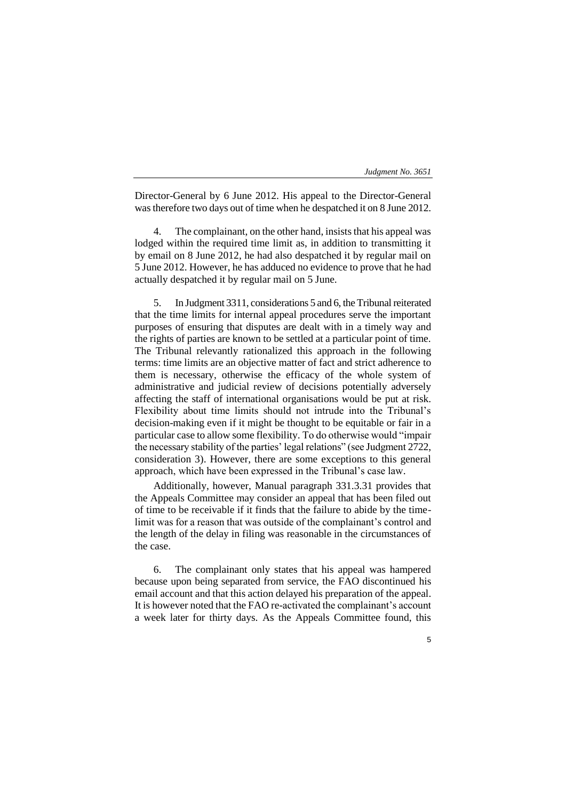| Judgment No. 3651 |  |
|-------------------|--|
|-------------------|--|

Director-General by 6 June 2012. His appeal to the Director-General was therefore two days out of time when he despatched it on 8 June 2012.

The complainant, on the other hand, insists that his appeal was lodged within the required time limit as, in addition to transmitting it by email on 8 June 2012, he had also despatched it by regular mail on 5 June 2012. However, he has adduced no evidence to prove that he had actually despatched it by regular mail on 5 June.

5. In Judgment 3311, considerations 5 and 6, the Tribunal reiterated that the time limits for internal appeal procedures serve the important purposes of ensuring that disputes are dealt with in a timely way and the rights of parties are known to be settled at a particular point of time. The Tribunal relevantly rationalized this approach in the following terms: time limits are an objective matter of fact and strict adherence to them is necessary, otherwise the efficacy of the whole system of administrative and judicial review of decisions potentially adversely affecting the staff of international organisations would be put at risk. Flexibility about time limits should not intrude into the Tribunal's decision-making even if it might be thought to be equitable or fair in a particular case to allow some flexibility. To do otherwise would "impair the necessary stability of the parties' legal relations" (see Judgment 2722, consideration 3). However, there are some exceptions to this general approach, which have been expressed in the Tribunal's case law.

Additionally, however, Manual paragraph 331.3.31 provides that the Appeals Committee may consider an appeal that has been filed out of time to be receivable if it finds that the failure to abide by the timelimit was for a reason that was outside of the complainant's control and the length of the delay in filing was reasonable in the circumstances of the case.

6. The complainant only states that his appeal was hampered because upon being separated from service, the FAO discontinued his email account and that this action delayed his preparation of the appeal. It is however noted that the FAO re-activated the complainant's account a week later for thirty days. As the Appeals Committee found, this